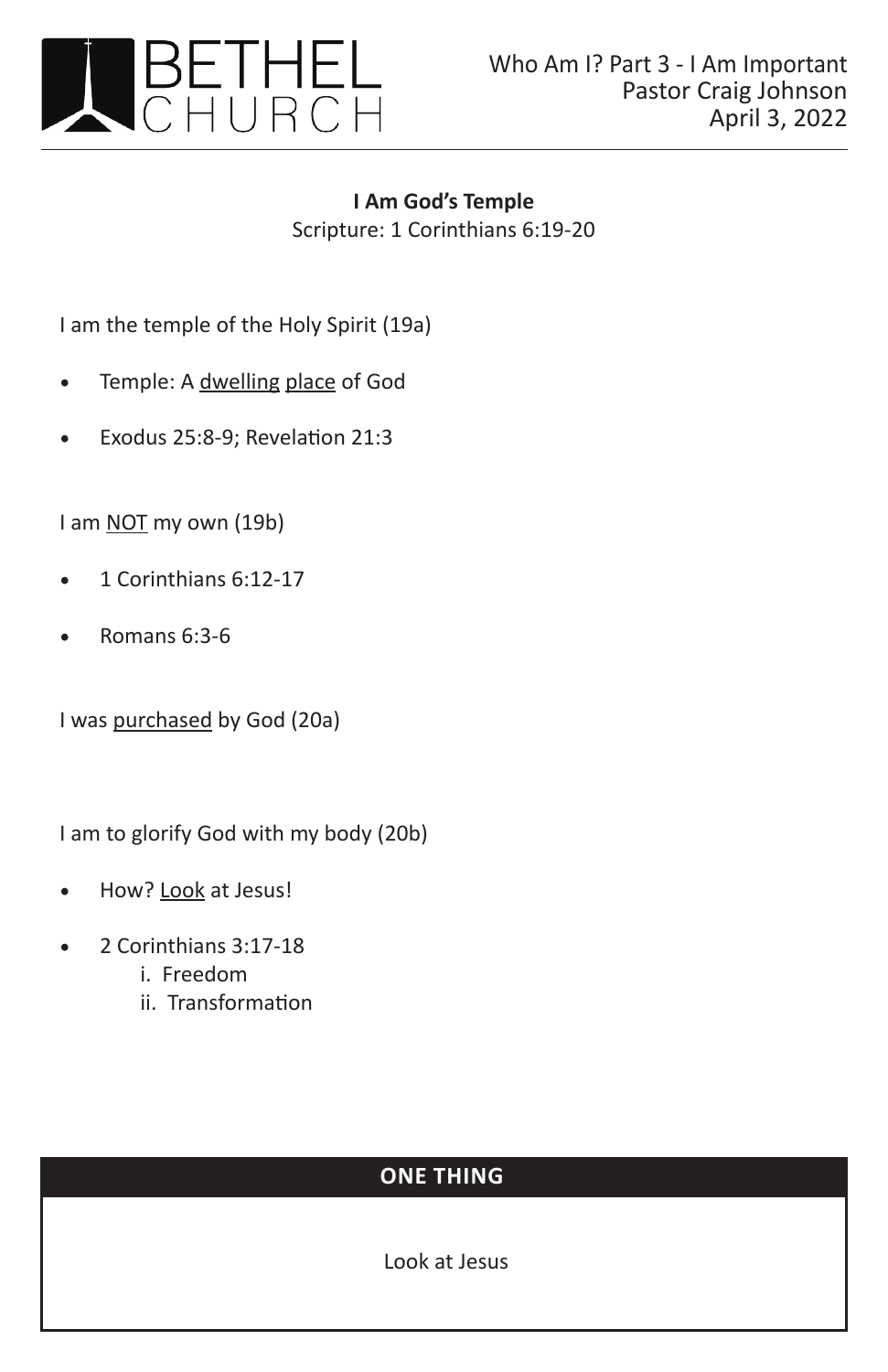

**I Am God's Temple** Scripture: 1 Corinthians 6:19-20

I am the temple of the Holy Spirit (19a)

- Temple: A dwelling place of God
- Exodus 25:8-9; Revelation 21:3

I am **NOT** my own (19b)

- 1 Corinthians 6:12-17
- Romans 6:3-6

I was purchased by God (20a)

I am to glorify God with my body (20b)

- How? Look at Jesus!
- 2 Corinthians 3:17-18
	- i. Freedom
	- ii. Transformation

## **ONE THING**

Look at Jesus